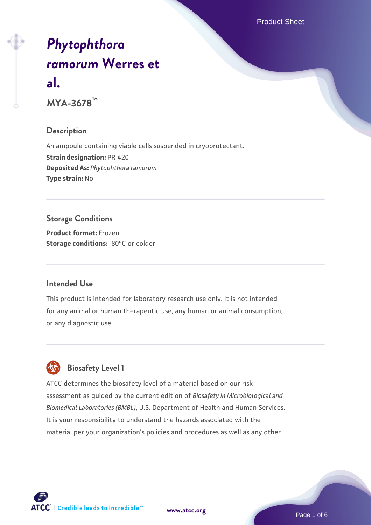Product Sheet

# *[Phytophthora](https://www.atcc.org/products/mya-3678) [ramorum](https://www.atcc.org/products/mya-3678)* **[Werres et](https://www.atcc.org/products/mya-3678) [al.](https://www.atcc.org/products/mya-3678)**

**MYA-3678™**

# **Description**

An ampoule containing viable cells suspended in cryoprotectant. **Strain designation:** PR-420 **Deposited As:** *Phytophthora ramorum* **Type strain:** No

# **Storage Conditions**

**Product format:** Frozen **Storage conditions: -80°C** or colder

# **Intended Use**

This product is intended for laboratory research use only. It is not intended for any animal or human therapeutic use, any human or animal consumption, or any diagnostic use.



# **Biosafety Level 1**

ATCC determines the biosafety level of a material based on our risk assessment as guided by the current edition of *Biosafety in Microbiological and Biomedical Laboratories (BMBL)*, U.S. Department of Health and Human Services. It is your responsibility to understand the hazards associated with the material per your organization's policies and procedures as well as any other

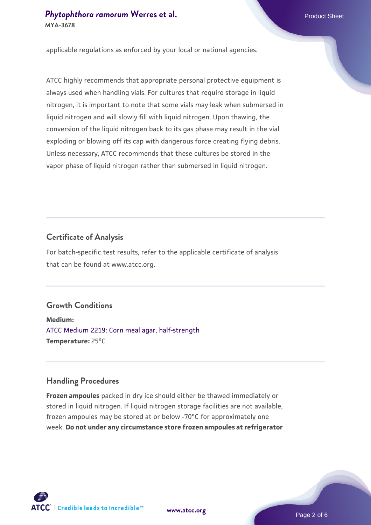# **[Phytophthora ramorum](https://www.atcc.org/products/mya-3678) [Werres et al.](https://www.atcc.org/products/mya-3678)** Phytophthora ramorum Werres et al. **MYA-3678**

applicable regulations as enforced by your local or national agencies.

ATCC highly recommends that appropriate personal protective equipment is always used when handling vials. For cultures that require storage in liquid nitrogen, it is important to note that some vials may leak when submersed in liquid nitrogen and will slowly fill with liquid nitrogen. Upon thawing, the conversion of the liquid nitrogen back to its gas phase may result in the vial exploding or blowing off its cap with dangerous force creating flying debris. Unless necessary, ATCC recommends that these cultures be stored in the vapor phase of liquid nitrogen rather than submersed in liquid nitrogen.

# **Certificate of Analysis**

For batch-specific test results, refer to the applicable certificate of analysis that can be found at www.atcc.org.

# **Growth Conditions**

**Medium:**  [ATCC Medium 2219: Corn meal agar, half-strength](https://www.atcc.org/-/media/product-assets/documents/microbial-media-formulations/2/2/1/9/atcc-medium-2219.pdf?rev=56941740a8e44ef5b0ad065230bb5acc) **Temperature:** 25°C

# **Handling Procedures**

**Frozen ampoules** packed in dry ice should either be thawed immediately or stored in liquid nitrogen. If liquid nitrogen storage facilities are not available, frozen ampoules may be stored at or below -70°C for approximately one week. **Do not under any circumstance store frozen ampoules at refrigerator**

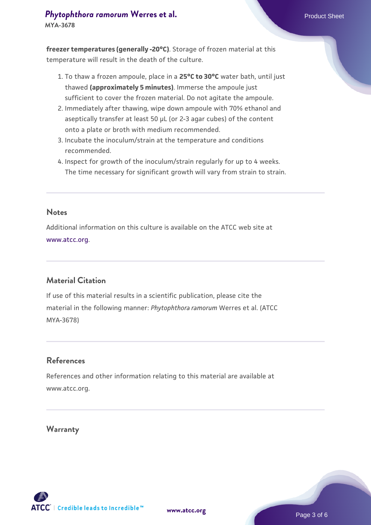### **[Phytophthora ramorum](https://www.atcc.org/products/mya-3678) [Werres et al.](https://www.atcc.org/products/mya-3678)** Phytophthora ramorum Werres et al. **MYA-3678**

**freezer temperatures (generally -20°C)**. Storage of frozen material at this temperature will result in the death of the culture.

- 1. To thaw a frozen ampoule, place in a **25°C to 30°C** water bath, until just thawed **(approximately 5 minutes)**. Immerse the ampoule just sufficient to cover the frozen material. Do not agitate the ampoule.
- 2. Immediately after thawing, wipe down ampoule with 70% ethanol and aseptically transfer at least 50 µL (or 2-3 agar cubes) of the content onto a plate or broth with medium recommended.
- 3. Incubate the inoculum/strain at the temperature and conditions recommended.
- 4. Inspect for growth of the inoculum/strain regularly for up to 4 weeks. The time necessary for significant growth will vary from strain to strain.

#### **Notes**

Additional information on this culture is available on the ATCC web site at [www.atcc.org.](http://www.atcc.org/)

## **Material Citation**

If use of this material results in a scientific publication, please cite the material in the following manner: *Phytophthora ramorum* Werres et al. (ATCC MYA-3678)

## **References**

References and other information relating to this material are available at www.atcc.org.

#### **Warranty**

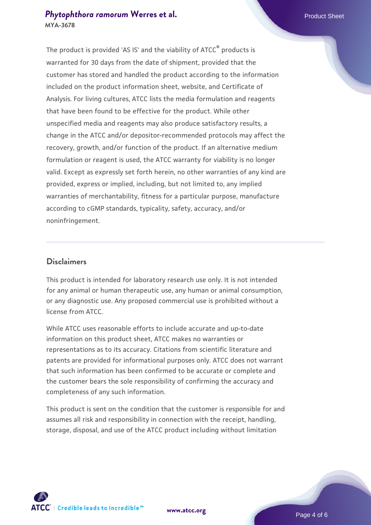# **[Phytophthora ramorum](https://www.atcc.org/products/mya-3678) [Werres et al.](https://www.atcc.org/products/mya-3678)** Phytophthora ramorum Werres et al. **MYA-3678**

The product is provided 'AS IS' and the viability of ATCC<sup>®</sup> products is warranted for 30 days from the date of shipment, provided that the customer has stored and handled the product according to the information included on the product information sheet, website, and Certificate of Analysis. For living cultures, ATCC lists the media formulation and reagents that have been found to be effective for the product. While other unspecified media and reagents may also produce satisfactory results, a change in the ATCC and/or depositor-recommended protocols may affect the recovery, growth, and/or function of the product. If an alternative medium formulation or reagent is used, the ATCC warranty for viability is no longer valid. Except as expressly set forth herein, no other warranties of any kind are provided, express or implied, including, but not limited to, any implied warranties of merchantability, fitness for a particular purpose, manufacture according to cGMP standards, typicality, safety, accuracy, and/or noninfringement.

## **Disclaimers**

This product is intended for laboratory research use only. It is not intended for any animal or human therapeutic use, any human or animal consumption, or any diagnostic use. Any proposed commercial use is prohibited without a license from ATCC.

While ATCC uses reasonable efforts to include accurate and up-to-date information on this product sheet, ATCC makes no warranties or representations as to its accuracy. Citations from scientific literature and patents are provided for informational purposes only. ATCC does not warrant that such information has been confirmed to be accurate or complete and the customer bears the sole responsibility of confirming the accuracy and completeness of any such information.

This product is sent on the condition that the customer is responsible for and assumes all risk and responsibility in connection with the receipt, handling, storage, disposal, and use of the ATCC product including without limitation



**[www.atcc.org](http://www.atcc.org)**

Page 4 of 6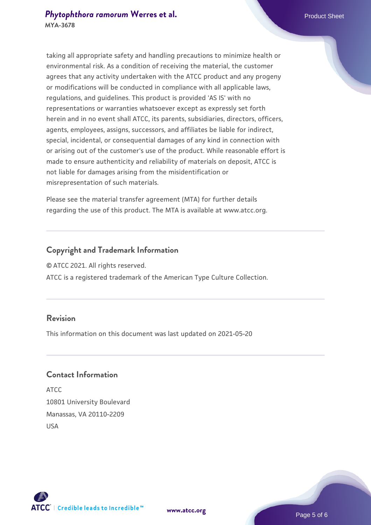taking all appropriate safety and handling precautions to minimize health or environmental risk. As a condition of receiving the material, the customer agrees that any activity undertaken with the ATCC product and any progeny or modifications will be conducted in compliance with all applicable laws, regulations, and guidelines. This product is provided 'AS IS' with no representations or warranties whatsoever except as expressly set forth herein and in no event shall ATCC, its parents, subsidiaries, directors, officers, agents, employees, assigns, successors, and affiliates be liable for indirect, special, incidental, or consequential damages of any kind in connection with or arising out of the customer's use of the product. While reasonable effort is made to ensure authenticity and reliability of materials on deposit, ATCC is not liable for damages arising from the misidentification or misrepresentation of such materials.

Please see the material transfer agreement (MTA) for further details regarding the use of this product. The MTA is available at www.atcc.org.

# **Copyright and Trademark Information**

© ATCC 2021. All rights reserved.

ATCC is a registered trademark of the American Type Culture Collection.

# **Revision**

This information on this document was last updated on 2021-05-20

# **Contact Information**

ATCC 10801 University Boulevard Manassas, VA 20110-2209 USA